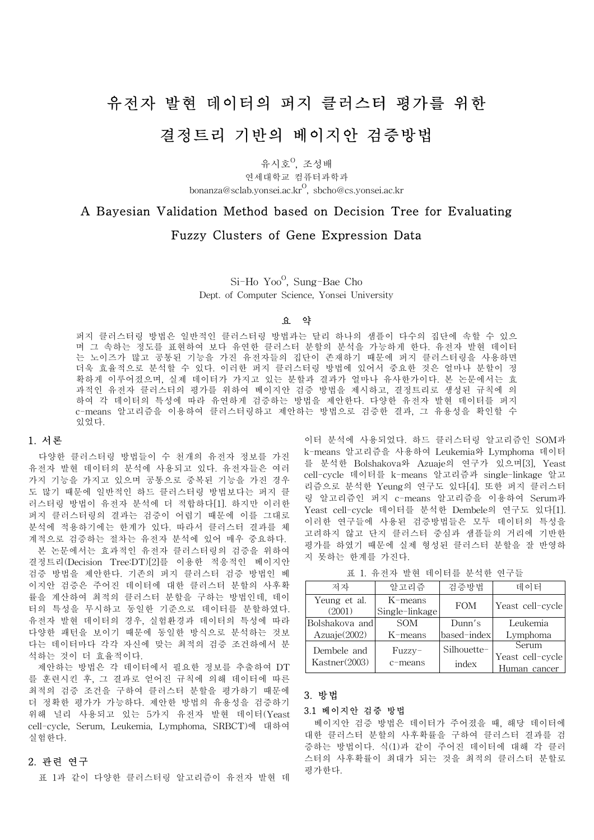# 유전자 발현 데이터의 퍼지 클러스터 평가를 위한 결정트리 기반의 베이지안 검증방법

유시호<sup>0</sup>, 조성배 연세대학교 컴퓨터과학과 bonanza@sclab.yonsei.ac.kr $^{\mathrm{O}}$ , sbcho@cs.yonsei.ac.kr

## A Bayesian Validation Method based on Decision Tree for Evaluating

### Fuzzy Clusters of Gene Expression Data

Si-Ho Yoo<sup>o</sup>, Sung-Bae Cho Dept. of Computer Science, Yonsei University

#### 요 약

퍼지 클러스터링 방법은 일반적인 클러스터링 방법과는 달리 하나의 샘플이 다수의 집단에 속할 수 있으 며 그 속하는 정도를 표현하여 보다 유연한 클러스터 분할의 분석을 가능하게 한다. 유전자 발현 데이터 는 노이즈가 많고 공통된 기능을 가진 유전자들의 집단이 존재하기 때문에 퍼지 클러스터링을 사용하면 더욱 효율적으로 분석할 수 있다. 이러한 퍼지 클러스터링 방법에 있어서 중요한 것은 얼마나 분할이 정 확하게 이루어졌으며, 실제 데이터가 가지고 있는 분할과 결과가 얼마나 유사한가이다. 본 논문에서는 효 과적인 유전자 클러스터의 평가를 위하여 베이지안 검증 방법을 제시하고, 결정트리로 생성된 규칙에 의 하여 각 데이터의 특성에 따라 유연하게 검증하는 방법을 제안한다. 다양한 유전자 발현 데이터를 퍼지 c-means 알고리즘을 이용하여 클러스터링하고 제안하는 방법으로 검증한 결과, 그 유용성을 확인할 수 있었다.

#### 1. 서론

 다양한 클러스터링 방법들이 수 천개의 유전자 정보를 가진 유전자 발현 데이터의 분석에 사용되고 있다. 유전자들은 여러 가지 기능을 가지고 있으며 공통으로 중복된 기능을 가진 경우 도 많기 때문에 일반적인 하드 클러스터링 방법보다는 퍼지 클 러스터링 방법이 유전자 분석에 더 적합하다[1]. 하지만 이러한 퍼지 클러스터링의 결과는 검증이 어렵기 때문에 이를 그대로 분석에 적용하기에는 한계가 있다. 따라서 클러스터 결과를 체 계적으로 검증하는 절차는 유전자 분석에 있어 매우 중요하다.

 본 논문에서는 효과적인 유전자 클러스터링의 검증을 위하여 결정트리(Decision Tree:DT)[2]를 이용한 적응적인 베이지안 검증 방법을 제안한다. 기존의 퍼지 클러스터 검증 방법인 베 이지안 검증은 주어진 데이터에 대한 클러스터 분할의 사후확 률을 계산하여 최적의 클러스터 분할을 구하는 방법인데, 데이 터의 특성을 무시하고 동일한 기준으로 데이터를 분할하였다. 유전자 발현 데이터의 경우, 실험환경과 데이터의 특성에 따라 다양한 패턴을 보이기 때문에 동일한 방식으로 분석하는 것보 다는 데이터마다 각각 자신에 맞는 최적의 검증 조건하에서 분 석하는 것이 더 효율적이다.

 제안하는 방법은 각 데이터에서 필요한 정보를 추출하여 DT 를 훈련시킨 후, 그 결과로 얻어진 규칙에 의해 데이터에 따른 최적의 검증 조건을 구하여 클러스터 분할을 평가하기 때문에 더 정확한 평가가 가능하다. 제안한 방법의 유용성을 검증하기 위해 널리 사용되고 있는 5가지 유전자 발현 데이터(Yeast cell-cycle, Serum, Leukemia, Lymphoma, SRBCT)에 대하여 실험한다.

#### 2. 관련 연구

표 1과 같이 다양한 클러스터링 알고리즘이 유전자 발현 데

이터 분석에 사용되었다. 하드 클러스터링 알고리즘인 SOM과 k-means 알고리즘을 사용하여 Leukemia와 Lymphoma 데이터 를 분석한 Bolshakova와 Azuaje의 연구가 있으며[3], Yeast cell-cycle 데이터를 k-means 알고리즘과 single-linkage 알고 리즘으로 분석한 Yeung의 연구도 있다[4]. 또한 퍼지 클러스터 링 알고리즘인 퍼지 c-means 알고리즘을 이용하여 Serum과 Yeast cell-cycle 데이터를 분석한 Dembele의 연구도 있다[1]. 이러한 연구들에 사용된 검증방법들은 모두 데이터의 특성을 고려하지 않고 단지 클러스터 중심과 샘플들의 거리에 기반한 평가를 하였기 때문에 실제 형성된 클러스터 분할을 잘 반영하 지 못하는 한계를 가진다.

표 1. 유전자 발현 데이터를 분석한 연구들

| 저자                     | 알고리즘                      | 검증방법        | 데이터              |
|------------------------|---------------------------|-------------|------------------|
| Yeung et al.<br>(2001) | K-means<br>Single-linkage | <b>FOM</b>  | Yeast cell-cycle |
| Bolshakova and         | <b>SOM</b>                | Dunn's      | Leukemia         |
| Azuaje(2002)           | $K$ -means                | based-index | Lymphoma         |
| Dembele and            | Fuzzy-                    | Silhouette- | Serum            |
| Kastner(2003)          | c-means                   |             | Yeast cell-cycle |
|                        |                           | index       | Human cancer     |

#### 3. 방법

#### 3.1 베이지안 검증 방법

 베이지안 검증 방법은 데이터가 주어졌을 때, 해당 데이터에 대한 클러스터 분할의 사후확률을 구하여 클러스터 결과를 검 증하는 방법이다. 식(1)과 같이 주어진 데이터에 대해 각 클러 스터의 사후확률이 최대가 되는 것을 최적의 클러스터 분할로 평가한다.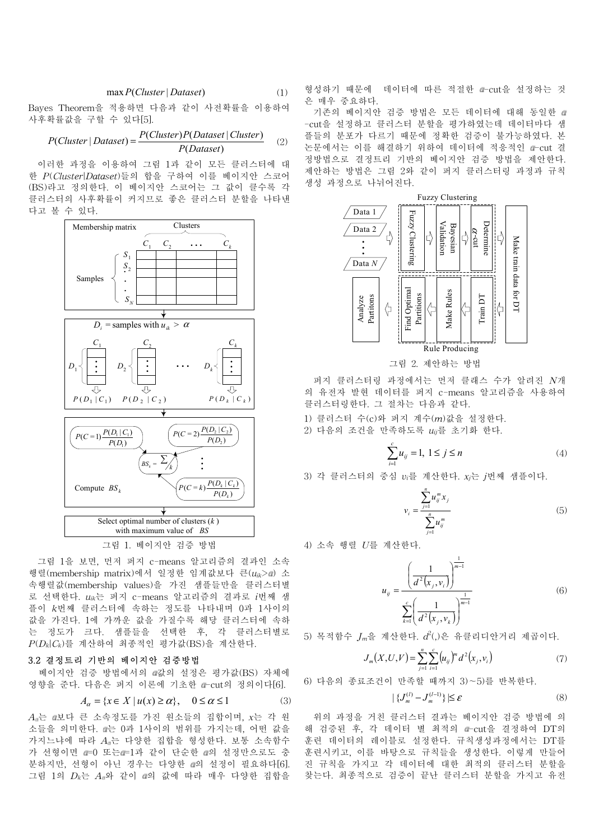$$
\max P(Cluster | Dataset) \tag{1}
$$

Bayes Theorem을 적용하면 다음과 같이 사전확률을 이용하여 사후확률값을 구할 수 있다[5].

$$
P(Cluster | Dataset) = \frac{P(Cluster)P(Dataset | Cluster)}{P(Dataset)} \tag{2}
$$

 이러한 과정을 이용하여 그림 1과 같이 모든 클러스터에 대 한 *P*(*Cluster*|*Dataset*)들의 합을 구하여 이를 베이지안 스코어 (BS)라고 정의한다. 이 베이지안 스코어는 그 값이 클수록 각 클러스터의 사후확률이 커지므로 좋은 클러스터 분할을 나타낸 다고 볼 수 있다.



그림 1. 베이지안 검증 방법

 그림 1을 보면, 먼저 퍼지 c-means 알고리즘의 결과인 소속 행렬(membership matrix)에서 일정한 임계값보다 큰( $u_{ik}$ > 화 소 속행렬값(membership values)을 가진 샘플들만을 클러스터별 로 선택한다. *uik*는 퍼지 c-means 알고리즘의 결과로 *i*번째 샘 플이 *k*번째 클러스터에 속하는 정도를 나타내며 0과 1사이의 값을 가진다. 1에 가까운 값을 가질수록 해당 클러스터에 속하 는 정도가 크다. 샘플들을 선택한 후, 각 클러스터별로 *P*(*Dk*|*Ck*)를 계산하여 최종적인 평가값(BS)을 계산한다.

#### 3.2 결정트리 기반의 베이지안 검증방법

 베이지안 검증 방법에서의 값의 설정은 평가값(BS) 자체에 영향을 준다. 다음은 퍼지 이론에 기초한 a-cut의 정의이다[6].

$$
A_{\alpha} = \{ x \in X \mid u(x) \ge \alpha \}, \quad 0 \le \alpha \le 1 \tag{3}
$$

*A* 는 보다 큰 소속정도를 가진 원소들의 집합이며, *x*는 각 원 소들을 의미한다. 는 0과 1사이의 범위를 가지는데, 어떤 값을 가지느냐에 따라 *A* 는 다양한 집합을 형성한다. 보통 소속함수 가 선형이면 == 0 또는 == 1과 같이 단순한 ■의 설정만으로도 충 분하지만, 선형이 아닌 경우는 다양한 의 설정이 필요하다[6]. 그림 1의 *Dk*는 *A* 와 같이 의 값에 따라 매우 다양한 집합을

형성하기 때문에 데이터에 따른 적절한 a-cut을 설정하는 것 은 매우 중요하다.

 기존의 베이지안 검증 방법은 모든 데이터에 대해 동일한 -cut을 설정하고 클러스터 분할을 평가하였는데 데이터마다 샘 플들의 분포가 다르기 때문에 정확한 검증이 불가능하였다. 본 논문에서는 이를 해결하기 위하여 데이터에 적응적인 a-cut 결 정방법으로 결정트리 기반의 베이지안 검증 방법을 제안한다. 제안하는 방법은 그림 2와 같이 퍼지 클러스터링 과정과 규칙 생성 과정으로 나뉘어진다.



그림 2. 제안하는 방법

 퍼지 클러스터링 과정에서는 먼저 클래스 수가 알려진 *N*개 의 유전자 발현 데이터를 퍼지 c-means 알고리즘을 사용하여 클러스터링한다. 그 절차는 다음과 같다.

- 1) 클러스터 수(c)와 퍼지 계수(*m*)값을 설정한다.
- 2) 다음의 조건을 만족하도록 *uij*를 초기화 한다.

$$
\sum_{i=1}^{c} u_{ij} = 1, \ 1 \le j \le n \tag{4}
$$

3) 각 클러스터의 중심 *vi*를 계산한다. *xj*는 *j*번째 샘플이다.

$$
v_i = \frac{\sum_{j=1}^{n} u_{ij}^m x_j}{\sum_{j=1}^{n} u_{ij}^m}
$$
(5)

4) 소속 행렬 *U*를 계산한다.

$$
u_{ij} = \frac{\left(\frac{1}{d^2(x_j, v_i)}\right)^{\frac{1}{m-1}}}{\sum_{k=1}^{c} \left(\frac{1}{d^2(x_j, v_k)}\right)^{\frac{1}{m-1}}}
$$
(6)

 $5$ ) 목적함수  $J_m$ 을 계산한다.  $d^2$ (,)은 유클리디안거리 제곱이다.

$$
J_m(X, U, V) = \sum_{j=1}^n \sum_{i=1}^c (u_{ij})^m d^2(x_j, v_i)
$$
 (7)

6) 다음의 종료조건이 만족할 때까지 3)∼5)를 반복한다.

$$
|\{J_m^{(l)} - J_m^{(l-1)}\}| \le \varepsilon \tag{8}
$$

 위의 과정을 거친 클러스터 결과는 베이지안 검증 방법에 의 해 검증된 후, 각 데이터 별 최적의 a-cut을 결정하여 DT의 훈련 데이터의 레이블로 설정한다. 규칙생성과정에서는 DT를 훈련시키고, 이를 바탕으로 규칙들을 생성한다. 이렇게 만들어 진 규칙을 가지고 각 데이터에 대한 최적의 클러스터 분할을 찾는다. 최종적으로 검증이 끝난 클러스터 분할을 가지고 유전